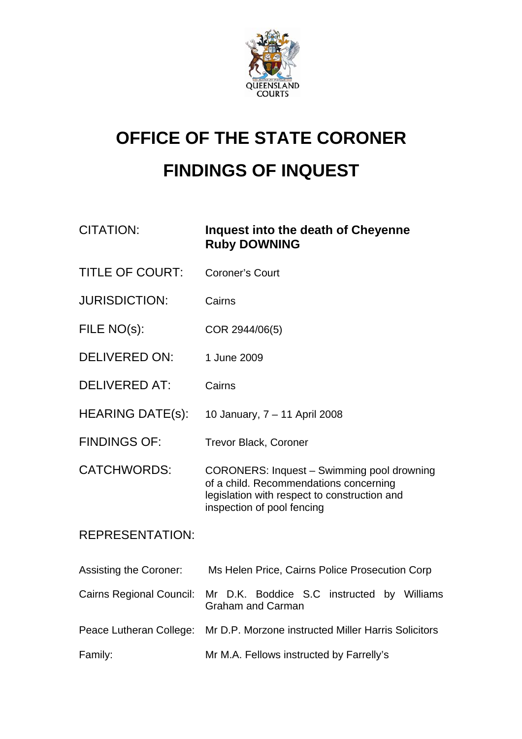

## **OFFICE OF THE STATE CORONER FINDINGS OF INQUEST**

| <b>CITATION:</b>                | Inquest into the death of Cheyenne<br><b>Ruby DOWNING</b>                                                                                                          |
|---------------------------------|--------------------------------------------------------------------------------------------------------------------------------------------------------------------|
| <b>TITLE OF COURT:</b>          | <b>Coroner's Court</b>                                                                                                                                             |
| <b>JURISDICTION:</b>            | Cairns                                                                                                                                                             |
| FILE NO(s):                     | COR 2944/06(5)                                                                                                                                                     |
| <b>DELIVERED ON:</b>            | 1 June 2009                                                                                                                                                        |
| <b>DELIVERED AT:</b>            | Cairns                                                                                                                                                             |
| <b>HEARING DATE(s):</b>         | 10 January, 7 - 11 April 2008                                                                                                                                      |
| <b>FINDINGS OF:</b>             | <b>Trevor Black, Coroner</b>                                                                                                                                       |
| <b>CATCHWORDS:</b>              | CORONERS: Inquest - Swimming pool drowning<br>of a child. Recommendations concerning<br>legislation with respect to construction and<br>inspection of pool fencing |
| <b>REPRESENTATION:</b>          |                                                                                                                                                                    |
| <b>Assisting the Coroner:</b>   | Ms Helen Price, Cairns Police Prosecution Corp                                                                                                                     |
| <b>Cairns Regional Council:</b> | Mr D.K. Boddice S.C instructed by Williams<br><b>Graham and Carman</b>                                                                                             |
| Peace Lutheran College:         | Mr D.P. Morzone instructed Miller Harris Solicitors                                                                                                                |
| Family:                         | Mr M.A. Fellows instructed by Farrelly's                                                                                                                           |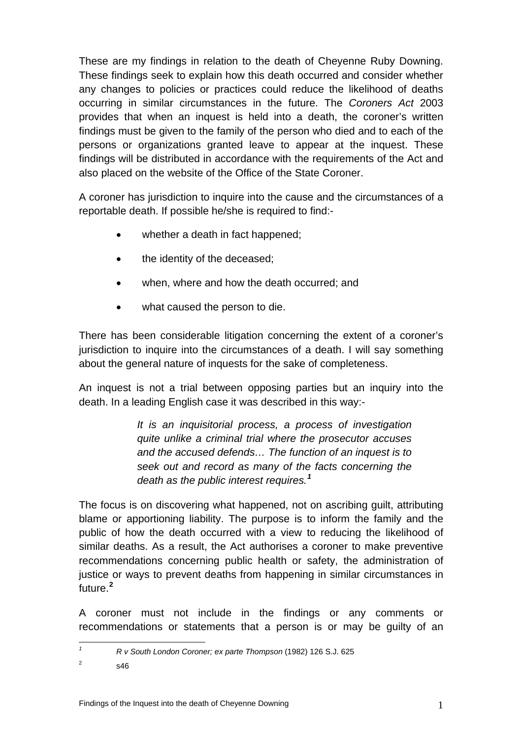These are my findings in relation to the death of Cheyenne Ruby Downing. These findings seek to explain how this death occurred and consider whether any changes to policies or practices could reduce the likelihood of deaths occurring in similar circumstances in the future. The *Coroners Act* 2003 provides that when an inquest is held into a death, the coroner's written findings must be given to the family of the person who died and to each of the persons or organizations granted leave to appear at the inquest. These findings will be distributed in accordance with the requirements of the Act and also placed on the website of the Office of the State Coroner.

A coroner has jurisdiction to inquire into the cause and the circumstances of a reportable death. If possible he/she is required to find:-

- whether a death in fact happened;
- the identity of the deceased;
- when, where and how the death occurred; and
- what caused the person to die.

There has been considerable litigation concerning the extent of a coroner's jurisdiction to inquire into the circumstances of a death. I will say something about the general nature of inquests for the sake of completeness.

An inquest is not a trial between opposing parties but an inquiry into the death. In a leading English case it was described in this way:-

> *It is an inquisitorial process, a process of investigation quite unlike a criminal trial where the prosecutor accuses and the accused defends… The function of an inquest is to seek out and record as many of the facts concerning the death as the public interest requires.[1](#page-1-0)*

The focus is on discovering what happened, not on ascribing guilt, attributing blame or apportioning liability. The purpose is to inform the family and the public of how the death occurred with a view to reducing the likelihood of similar deaths. As a result, the Act authorises a coroner to make preventive recommendations concerning public health or safety, the administration of justice or ways to prevent deaths from happening in similar circumstances in future.**[2](#page-1-1)**

A coroner must not include in the findings or any comments or recommendations or statements that a person is or may be guilty of an

<span id="page-1-1"></span><span id="page-1-0"></span> $\overline{2}$ s46

*1*

*R v South London Coroner; ex parte Thompson* (1982) 126 S.J. 625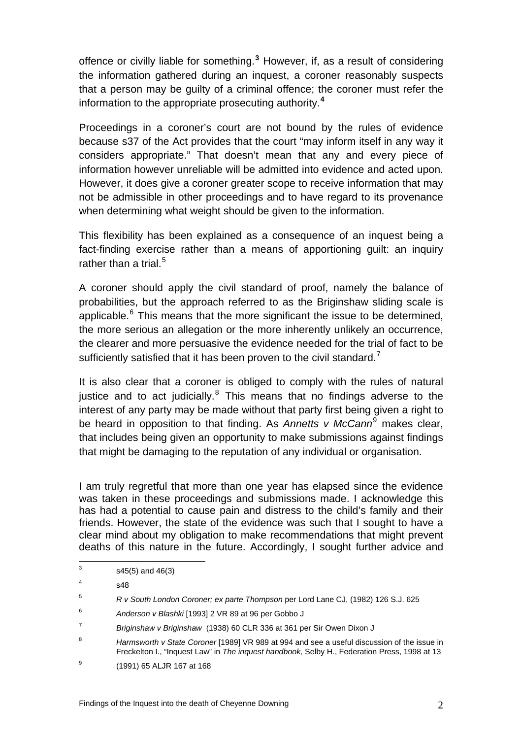offence or civilly liable for something.**[3](#page-2-0)** However, if, as a result of considering the information gathered during an inquest, a coroner reasonably suspects that a person may be guilty of a criminal offence; the coroner must refer the information to the appropriate prosecuting authority.**[4](#page-2-1)**

Proceedings in a coroner's court are not bound by the rules of evidence because s37 of the Act provides that the court "may inform itself in any way it considers appropriate." That doesn't mean that any and every piece of information however unreliable will be admitted into evidence and acted upon. However, it does give a coroner greater scope to receive information that may not be admissible in other proceedings and to have regard to its provenance when determining what weight should be given to the information.

This flexibility has been explained as a consequence of an inquest being a fact-finding exercise rather than a means of apportioning guilt: an inquiry rather than a trial. $5$ 

A coroner should apply the civil standard of proof, namely the balance of probabilities, but the approach referred to as the Briginshaw sliding scale is applicable.<sup>[6](#page-2-3)</sup> This means that the more significant the issue to be determined, the more serious an allegation or the more inherently unlikely an occurrence, the clearer and more persuasive the evidence needed for the trial of fact to be sufficiently satisfied that it has been proven to the civil standard.<sup>[7](#page-2-4)</sup>

It is also clear that a coroner is obliged to comply with the rules of natural justice and to act judicially.<sup>[8](#page-2-5)</sup> This means that no findings adverse to the interest of any party may be made without that party first being given a right to be heard in opposition to that finding. As *Annetts v McCann*[9](#page-2-6) makes clear, that includes being given an opportunity to make submissions against findings that might be damaging to the reputation of any individual or organisation.

I am truly regretful that more than one year has elapsed since the evidence was taken in these proceedings and submissions made. I acknowledge this has had a potential to cause pain and distress to the child's family and their friends. However, the state of the evidence was such that I sought to have a clear mind about my obligation to make recommendations that might prevent deaths of this nature in the future. Accordingly, I sought further advice and

<sup>-&</sup>lt;br>3 s45(5) and 46(3)

<span id="page-2-1"></span><span id="page-2-0"></span><sup>4</sup> s48

<span id="page-2-2"></span><sup>5</sup> *R v South London Coroner; ex parte Thompson* per Lord Lane CJ, (1982) 126 S.J. 625

<span id="page-2-3"></span><sup>6</sup> *Anderson v Blashki* [1993] 2 VR 89 at 96 per Gobbo J

<span id="page-2-4"></span><sup>7</sup> *Briginshaw v Briginshaw* (1938) 60 CLR 336 at 361 per Sir Owen Dixon J

<span id="page-2-5"></span><sup>8</sup> *Harmsworth v State Coroner* [1989] VR 989 at 994 and see a useful discussion of the issue in Freckelton I., "Inquest Law" in *The inquest handbook,* Selby H., Federation Press, 1998 at 13

<span id="page-2-6"></span><sup>9</sup> (1991) 65 ALJR 167 at 168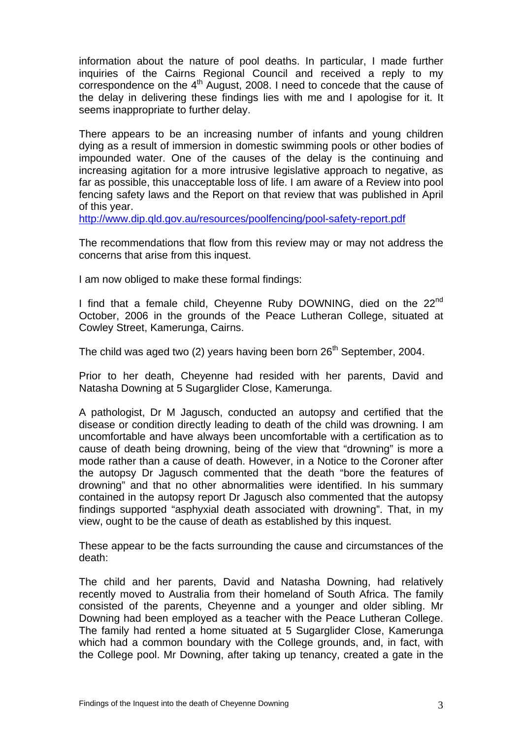information about the nature of pool deaths. In particular, I made further inquiries of the Cairns Regional Council and received a reply to my correspondence on the 4<sup>th</sup> August, 2008. I need to concede that the cause of the delay in delivering these findings lies with me and I apologise for it. It seems inappropriate to further delay.

There appears to be an increasing number of infants and young children dying as a result of immersion in domestic swimming pools or other bodies of impounded water. One of the causes of the delay is the continuing and increasing agitation for a more intrusive legislative approach to negative, as far as possible, this unacceptable loss of life. I am aware of a Review into pool fencing safety laws and the Report on that review that was published in April of this year.

<http://www.dip.qld.gov.au/resources/poolfencing/pool-safety-report.pdf>

The recommendations that flow from this review may or may not address the concerns that arise from this inquest.

I am now obliged to make these formal findings:

I find that a female child, Cheyenne Ruby DOWNING, died on the 22<sup>nd</sup> October, 2006 in the grounds of the Peace Lutheran College, situated at Cowley Street, Kamerunga, Cairns.

The child was aged two  $(2)$  years having been born  $26<sup>th</sup>$  September, 2004.

Prior to her death, Cheyenne had resided with her parents, David and Natasha Downing at 5 Sugarglider Close, Kamerunga.

A pathologist, Dr M Jagusch, conducted an autopsy and certified that the disease or condition directly leading to death of the child was drowning. I am uncomfortable and have always been uncomfortable with a certification as to cause of death being drowning, being of the view that "drowning" is more a mode rather than a cause of death. However, in a Notice to the Coroner after the autopsy Dr Jagusch commented that the death "bore the features of drowning" and that no other abnormalities were identified. In his summary contained in the autopsy report Dr Jagusch also commented that the autopsy findings supported "asphyxial death associated with drowning". That, in my view, ought to be the cause of death as established by this inquest.

These appear to be the facts surrounding the cause and circumstances of the death:

The child and her parents, David and Natasha Downing, had relatively recently moved to Australia from their homeland of South Africa. The family consisted of the parents, Cheyenne and a younger and older sibling. Mr Downing had been employed as a teacher with the Peace Lutheran College. The family had rented a home situated at 5 Sugarglider Close, Kamerunga which had a common boundary with the College grounds, and, in fact, with the College pool. Mr Downing, after taking up tenancy, created a gate in the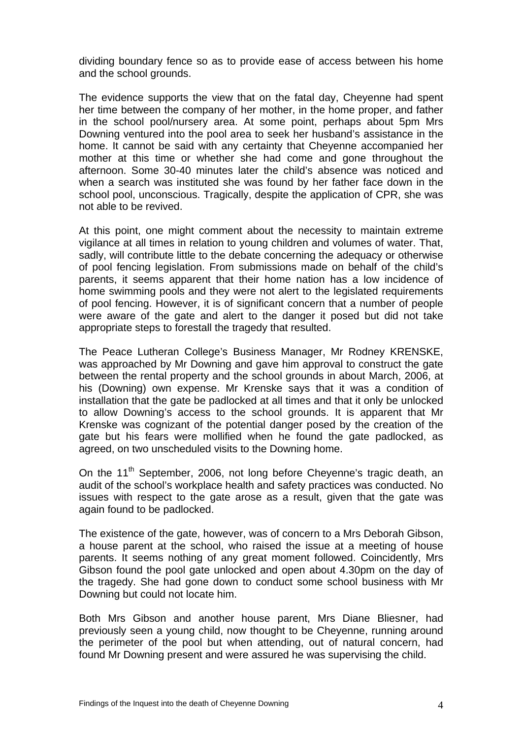dividing boundary fence so as to provide ease of access between his home and the school grounds.

The evidence supports the view that on the fatal day, Cheyenne had spent her time between the company of her mother, in the home proper, and father in the school pool/nursery area. At some point, perhaps about 5pm Mrs Downing ventured into the pool area to seek her husband's assistance in the home. It cannot be said with any certainty that Cheyenne accompanied her mother at this time or whether she had come and gone throughout the afternoon. Some 30-40 minutes later the child's absence was noticed and when a search was instituted she was found by her father face down in the school pool, unconscious. Tragically, despite the application of CPR, she was not able to be revived.

At this point, one might comment about the necessity to maintain extreme vigilance at all times in relation to young children and volumes of water. That, sadly, will contribute little to the debate concerning the adequacy or otherwise of pool fencing legislation. From submissions made on behalf of the child's parents, it seems apparent that their home nation has a low incidence of home swimming pools and they were not alert to the legislated requirements of pool fencing. However, it is of significant concern that a number of people were aware of the gate and alert to the danger it posed but did not take appropriate steps to forestall the tragedy that resulted.

The Peace Lutheran College's Business Manager, Mr Rodney KRENSKE, was approached by Mr Downing and gave him approval to construct the gate between the rental property and the school grounds in about March, 2006, at his (Downing) own expense. Mr Krenske says that it was a condition of installation that the gate be padlocked at all times and that it only be unlocked to allow Downing's access to the school grounds. It is apparent that Mr Krenske was cognizant of the potential danger posed by the creation of the gate but his fears were mollified when he found the gate padlocked, as agreed, on two unscheduled visits to the Downing home.

On the 11<sup>th</sup> September, 2006, not long before Chevenne's tragic death, an audit of the school's workplace health and safety practices was conducted. No issues with respect to the gate arose as a result, given that the gate was again found to be padlocked.

The existence of the gate, however, was of concern to a Mrs Deborah Gibson, a house parent at the school, who raised the issue at a meeting of house parents. It seems nothing of any great moment followed. Coincidently, Mrs Gibson found the pool gate unlocked and open about 4.30pm on the day of the tragedy. She had gone down to conduct some school business with Mr Downing but could not locate him.

Both Mrs Gibson and another house parent, Mrs Diane Bliesner, had previously seen a young child, now thought to be Cheyenne, running around the perimeter of the pool but when attending, out of natural concern, had found Mr Downing present and were assured he was supervising the child.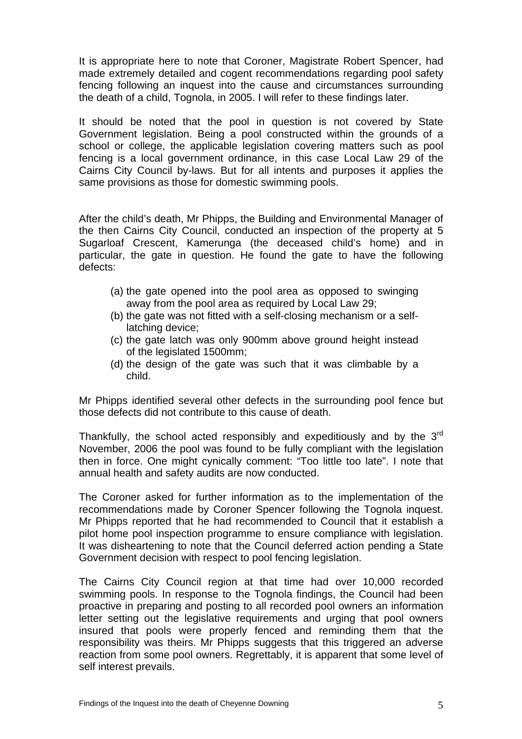It is appropriate here to note that Coroner, Magistrate Robert Spencer, had made extremely detailed and cogent recommendations regarding pool safety fencing following an inquest into the cause and circumstances surrounding the death of a child, Tognola, in 2005. I will refer to these findings later.

It should be noted that the pool in question is not covered by State Government legislation. Being a pool constructed within the grounds of a school or college, the applicable legislation covering matters such as pool fencing is a local government ordinance, in this case Local Law 29 of the Cairns City Council by-laws. But for all intents and purposes it applies the same provisions as those for domestic swimming pools.

After the child's death, Mr Phipps, the Building and Environmental Manager of the then Cairns City Council, conducted an inspection of the property at 5 Sugarloaf Crescent, Kamerunga (the deceased child's home) and in particular, the gate in question. He found the gate to have the following defects:

- (a) the gate opened into the pool area as opposed to swinging away from the pool area as required by Local Law 29;
- (b) the gate was not fitted with a self-closing mechanism or a selflatching device;
- (c) the gate latch was only 900mm above ground height instead of the legislated 1500mm;
- (d) the design of the gate was such that it was climbable by a child.

Mr Phipps identified several other defects in the surrounding pool fence but those defects did not contribute to this cause of death.

Thankfully, the school acted responsibly and expeditiously and by the  $3<sup>rd</sup>$ November, 2006 the pool was found to be fully compliant with the legislation then in force. One might cynically comment: "Too little too late". I note that annual health and safety audits are now conducted.

The Coroner asked for further information as to the implementation of the recommendations made by Coroner Spencer following the Tognola inquest. Mr Phipps reported that he had recommended to Council that it establish a pilot home pool inspection programme to ensure compliance with legislation. It was disheartening to note that the Council deferred action pending a State Government decision with respect to pool fencing legislation.

The Cairns City Council region at that time had over 10,000 recorded swimming pools. In response to the Tognola findings, the Council had been proactive in preparing and posting to all recorded pool owners an information letter setting out the legislative requirements and urging that pool owners insured that pools were properly fenced and reminding them that the responsibility was theirs. Mr Phipps suggests that this triggered an adverse reaction from some pool owners. Regrettably, it is apparent that some level of self interest prevails.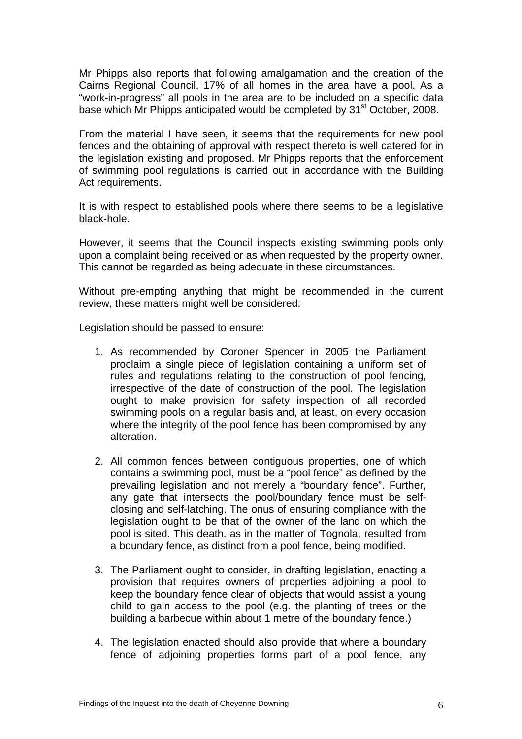Mr Phipps also reports that following amalgamation and the creation of the Cairns Regional Council, 17% of all homes in the area have a pool. As a "work-in-progress" all pools in the area are to be included on a specific data base which Mr Phipps anticipated would be completed by 31<sup>st</sup> October, 2008.

From the material I have seen, it seems that the requirements for new pool fences and the obtaining of approval with respect thereto is well catered for in the legislation existing and proposed. Mr Phipps reports that the enforcement of swimming pool regulations is carried out in accordance with the Building Act requirements.

It is with respect to established pools where there seems to be a legislative black-hole.

However, it seems that the Council inspects existing swimming pools only upon a complaint being received or as when requested by the property owner. This cannot be regarded as being adequate in these circumstances.

Without pre-empting anything that might be recommended in the current review, these matters might well be considered:

Legislation should be passed to ensure:

- 1. As recommended by Coroner Spencer in 2005 the Parliament proclaim a single piece of legislation containing a uniform set of rules and regulations relating to the construction of pool fencing, irrespective of the date of construction of the pool. The legislation ought to make provision for safety inspection of all recorded swimming pools on a regular basis and, at least, on every occasion where the integrity of the pool fence has been compromised by any alteration.
- 2. All common fences between contiguous properties, one of which contains a swimming pool, must be a "pool fence" as defined by the prevailing legislation and not merely a "boundary fence". Further, any gate that intersects the pool/boundary fence must be selfclosing and self-latching. The onus of ensuring compliance with the legislation ought to be that of the owner of the land on which the pool is sited. This death, as in the matter of Tognola, resulted from a boundary fence, as distinct from a pool fence, being modified.
- 3. The Parliament ought to consider, in drafting legislation, enacting a provision that requires owners of properties adjoining a pool to keep the boundary fence clear of objects that would assist a young child to gain access to the pool (e.g. the planting of trees or the building a barbecue within about 1 metre of the boundary fence.)
- 4. The legislation enacted should also provide that where a boundary fence of adjoining properties forms part of a pool fence, any